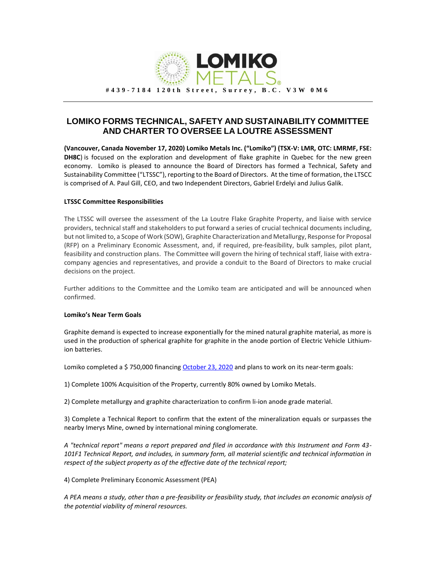

## **LOMIKO FORMS TECHNICAL, SAFETY AND SUSTAINABILITY COMMITTEE AND CHARTER TO OVERSEE LA LOUTRE ASSESSMENT**

**(Vancouver, Canada November 17, 2020) Lomiko Metals Inc. ("Lomiko") (TSX-V: LMR, OTC: LMRMF, FSE: DH8C**) is focused on the exploration and development of flake graphite in Quebec for the new green economy. Lomiko is pleased to announce the Board of Directors has formed a Technical, Safety and Sustainability Committee ("LTSSC"), reporting to the Board of Directors. At the time of formation, the LTSCC is comprised of A. Paul Gill, CEO, and two Independent Directors, Gabriel Erdelyi and Julius Galik.

## **LTSSC Committee Responsibilities**

The LTSSC will oversee the assessment of the La Loutre Flake Graphite Property, and liaise with service providers, technical staff and stakeholders to put forward a series of crucial technical documents including, but not limited to, a Scope of Work (SOW), Graphite Characterization and Metallurgy, Response for Proposal (RFP) on a Preliminary Economic Assessment, and, if required, pre-feasibility, bulk samples, pilot plant, feasibility and construction plans. The Committee will govern the hiring of technical staff, liaise with extracompany agencies and representatives, and provide a conduit to the Board of Directors to make crucial decisions on the project.

Further additions to the Committee and the Lomiko team are anticipated and will be announced when confirmed.

## **Lomiko's Near Term Goals**

Graphite demand is expected to increase exponentially for the mined natural graphite material, as more is used in the production of spherical graphite for graphite in the anode portion of Electric Vehicle Lithiumion batteries.

Lomiko completed a \$ 750,000 financin[g October 23, 2020](https://www.globenewswire.com/news-release/2020/10/24/2113909/0/en/LOMIKO-CLOSES-OVERSUBSCRIBED-FINANCING-OF-750-000.html) and plans to work on its near-term goals:

1) Complete 100% Acquisition of the Property, currently 80% owned by Lomiko Metals.

2) Complete metallurgy and graphite characterization to confirm li-ion anode grade material.

3) Complete a Technical Report to confirm that the extent of the mineralization equals or surpasses the nearby Imerys Mine, owned by international mining conglomerate.

*A "technical report" means a report prepared and filed in accordance with this Instrument and Form 43- 101F1 Technical Report, and includes, in summary form, all material scientific and technical information in respect of the subject property as of the effective date of the technical report;*

4) Complete Preliminary Economic Assessment (PEA)

*A PEA means a study, other than a pre-feasibility or feasibility study, that includes an economic analysis of the potential viability of mineral resources.*